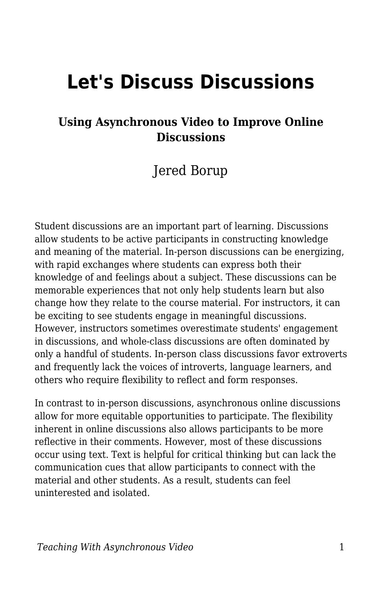# **Let's Discuss Discussions**

### **Using Asynchronous Video to Improve Online Discussions**

### Jered Borup

Student discussions are an important part of learning. Discussions allow students to be active participants in constructing knowledge and meaning of the material. In-person discussions can be energizing, with rapid exchanges where students can express both their knowledge of and feelings about a subject. These discussions can be memorable experiences that not only help students learn but also change how they relate to the course material. For instructors, it can be exciting to see students engage in meaningful discussions. However, instructors sometimes overestimate students' engagement in discussions, and whole-class discussions are often dominated by only a handful of students. In-person class discussions favor extroverts and frequently lack the voices of introverts, language learners, and others who require flexibility to reflect and form responses.

In contrast to in-person discussions, asynchronous online discussions allow for more equitable opportunities to participate. The flexibility inherent in online discussions also allows participants to be more reflective in their comments. However, most of these discussions occur using text. Text is helpful for critical thinking but can lack the communication cues that allow participants to connect with the material and other students. As a result, students can feel uninterested and isolated.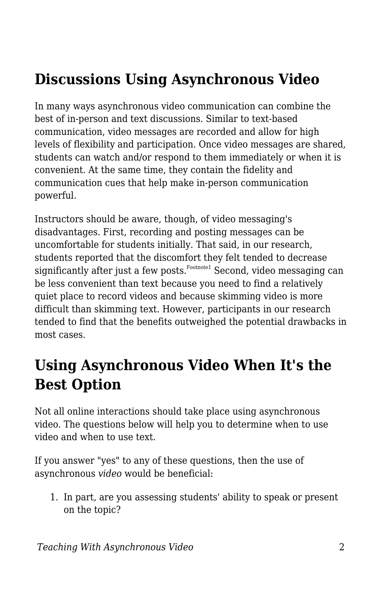## **Discussions Using Asynchronous Video**

In many ways asynchronous video communication can combine the best of in-person and text discussions. Similar to text-based communication, video messages are recorded and allow for high levels of flexibility and participation. Once video messages are shared, students can watch and/or respond to them immediately or when it is convenient. At the same time, they contain the fidelity and communication cues that help make in-person communication powerful.

Instructors should be aware, though, of video messaging's disadvantages. First, recording and posting messages can be uncomfortable for students initially. That said, in our research, students reported that the discomfort they felt tended to decrease significantly after just a few posts. $^{\text{Footho}1}$  Second, video messaging can be less convenient than text because you need to find a relatively quiet place to record videos and because skimming video is more difficult than skimming text. However, participants in our research tended to find that the benefits outweighed the potential drawbacks in most cases.

## **Using Asynchronous Video When It's the Best Option**

Not all online interactions should take place using asynchronous video. The questions below will help you to determine when to use video and when to use text.

If you answer "yes" to any of these questions, then the use of asynchronous *video* would be beneficial:

1. In part, are you assessing students' ability to speak or present on the topic?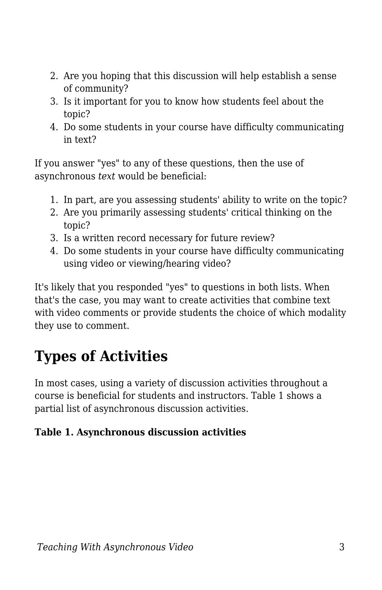- 2. Are you hoping that this discussion will help establish a sense of community?
- 3. Is it important for you to know how students feel about the topic?
- 4. Do some students in your course have difficulty communicating in text?

If you answer "yes" to any of these questions, then the use of asynchronous *text* would be beneficial:

- 1. In part, are you assessing students' ability to write on the topic?
- 2. Are you primarily assessing students' critical thinking on the topic?
- 3. Is a written record necessary for future review?
- 4. Do some students in your course have difficulty communicating using video or viewing/hearing video?

It's likely that you responded "yes" to questions in both lists. When that's the case, you may want to create activities that combine text with video comments or provide students the choice of which modality they use to comment.

## **Types of Activities**

In most cases, using a variety of discussion activities throughout a course is beneficial for students and instructors. Table 1 shows a partial list of asynchronous discussion activities.

#### **Table 1. Asynchronous discussion activities**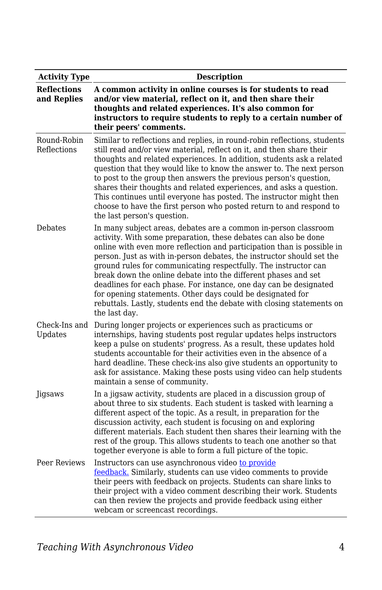| <b>Activity Type</b>              | <b>Description</b>                                                                                                                                                                                                                                                                                                                                                                                                                                                                                                                                                                                                                                      |
|-----------------------------------|---------------------------------------------------------------------------------------------------------------------------------------------------------------------------------------------------------------------------------------------------------------------------------------------------------------------------------------------------------------------------------------------------------------------------------------------------------------------------------------------------------------------------------------------------------------------------------------------------------------------------------------------------------|
| <b>Reflections</b><br>and Replies | A common activity in online courses is for students to read<br>and/or view material, reflect on it, and then share their<br>thoughts and related experiences. It's also common for<br>instructors to require students to reply to a certain number of<br>their peers' comments.                                                                                                                                                                                                                                                                                                                                                                         |
| Round-Robin<br>Reflections        | Similar to reflections and replies, in round-robin reflections, students<br>still read and/or view material, reflect on it, and then share their<br>thoughts and related experiences. In addition, students ask a related<br>question that they would like to know the answer to. The next person<br>to post to the group then answers the previous person's question,<br>shares their thoughts and related experiences, and asks a question.<br>This continues until everyone has posted. The instructor might then<br>choose to have the first person who posted return to and respond to<br>the last person's question.                              |
| Debates                           | In many subject areas, debates are a common in-person classroom<br>activity. With some preparation, these debates can also be done<br>online with even more reflection and participation than is possible in<br>person. Just as with in-person debates, the instructor should set the<br>ground rules for communicating respectfully. The instructor can<br>break down the online debate into the different phases and set<br>deadlines for each phase. For instance, one day can be designated<br>for opening statements. Other days could be designated for<br>rebuttals. Lastly, students end the debate with closing statements on<br>the last day. |
| Check-Ins and<br>Updates          | During longer projects or experiences such as practicums or<br>internships, having students post regular updates helps instructors<br>keep a pulse on students' progress. As a result, these updates hold<br>students accountable for their activities even in the absence of a<br>hard deadline. These check-ins also give students an opportunity to<br>ask for assistance. Making these posts using video can help students<br>maintain a sense of community.                                                                                                                                                                                        |
| Jigsaws                           | In a jigsaw activity, students are placed in a discussion group of<br>about three to six students. Each student is tasked with learning a<br>different aspect of the topic. As a result, in preparation for the<br>discussion activity, each student is focusing on and exploring<br>different materials. Each student then shares their learning with the<br>rest of the group. This allows students to teach one another so that<br>together everyone is able to form a full picture of the topic.                                                                                                                                                    |
| Peer Reviews                      | Instructors can use asynchronous video to provide<br>feedback. Similarly, students can use video comments to provide<br>their peers with feedback on projects. Students can share links to<br>their project with a video comment describing their work. Students<br>can then review the projects and provide feedback using either<br>webcam or screencast recordings.                                                                                                                                                                                                                                                                                  |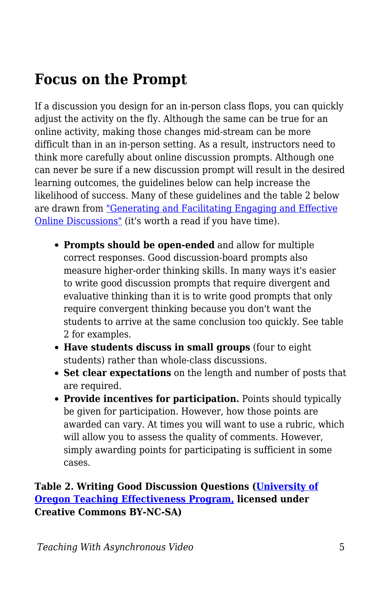### **Focus on the Prompt**

If a discussion you design for an in-person class flops, you can quickly adjust the activity on the fly. Although the same can be true for an online activity, making those changes mid-stream can be more difficult than in an in-person setting. As a result, instructors need to think more carefully about online discussion prompts. Although one can never be sure if a new discussion prompt will result in the desired learning outcomes, the guidelines below can help increase the likelihood of success. Many of these guidelines and the table 2 below are drawn from ["Generating and Facilitating Engaging and Effective](https://drive.google.com/file/d/1w3OIJtupSIHcCMozTZxkj05LcWWo4Zn0/view) [Online Discussions"](https://drive.google.com/file/d/1w3OIJtupSIHcCMozTZxkj05LcWWo4Zn0/view) (it's worth a read if you have time).

- **Prompts should be open-ended** and allow for multiple correct responses. Good discussion-board prompts also measure higher-order thinking skills. In many ways it's easier to write good discussion prompts that require divergent and evaluative thinking than it is to write good prompts that only require convergent thinking because you don't want the students to arrive at the same conclusion too quickly. See table 2 for examples.
- **Have students discuss in small groups** (four to eight students) rather than whole-class discussions.
- **Set clear expectations** on the length and number of posts that are required.
- **Provide incentives for participation.** Points should typically be given for participation. However, how those points are awarded can vary. At times you will want to use a rubric, which will allow you to assess the quality of comments. However, simply awarding points for participating is sufficient in some cases.

#### **Table 2. Writing Good Discussion Questions ([University of](https://tep.uoregon.edu/) [Oregon Teaching Effectiveness Program,](https://tep.uoregon.edu/) licensed under Creative Commons BY-NC-SA)**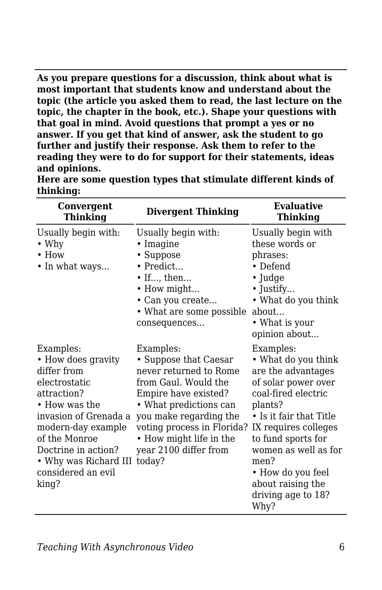**As you prepare questions for a discussion, think about what is most important that students know and understand about the topic (the article you asked them to read, the last lecture on the topic, the chapter in the book, etc.). Shape your questions with that goal in mind. Avoid questions that prompt a yes or no answer. If you get that kind of answer, ask the student to go further and justify their response. Ask them to refer to the reading they were to do for support for their statements, ideas and opinions.**

| Convergent<br><b>Thinking</b>                                                                                                                                                                                                                                 | <b>Divergent Thinking</b>                                                                                                                                                                                                                          | <b>Evaluative</b><br>Thinking                                                                                                                                                                                                                                                                            |
|---------------------------------------------------------------------------------------------------------------------------------------------------------------------------------------------------------------------------------------------------------------|----------------------------------------------------------------------------------------------------------------------------------------------------------------------------------------------------------------------------------------------------|----------------------------------------------------------------------------------------------------------------------------------------------------------------------------------------------------------------------------------------------------------------------------------------------------------|
| Usually begin with:<br>$\bullet$ Why<br>$\bullet$ How<br>• In what ways                                                                                                                                                                                       | Usually begin with:<br>$\cdot$ Imagine<br>• Suppose<br>• Predict<br>$\bullet$ If, then<br>• How might<br>• Can you create<br>• What are some possible<br>consequences                                                                              | Usually begin with<br>these words or<br>phrases:<br>• Defend<br>$\cdot$ Judge<br>$\bullet$ Justify<br>• What do you think<br>about<br>• What is your<br>opinion about                                                                                                                                    |
| Examples:<br>• How does gravity<br>differ from<br>electrostatic<br>attraction?<br>$\bullet$ How was the<br>invasion of Grenada a<br>modern-day example<br>of the Monroe<br>Doctrine in action?<br>• Why was Richard III today?<br>considered an evil<br>king? | Examples:<br>• Suppose that Caesar<br>never returned to Rome<br>from Gaul. Would the<br>Empire have existed?<br>• What predictions can<br>you make regarding the<br>voting process in Florida?<br>• How might life in the<br>year 2100 differ from | Examples:<br>• What do you think<br>are the advantages<br>of solar power over<br>coal-fired electric<br>plants?<br>$\bullet$ Is it fair that Title<br>IX requires colleges<br>to fund sports for<br>women as well as for<br>men?<br>• How do you feel<br>about raising the<br>driving age to 18?<br>Why? |

**Here are some question types that stimulate different kinds of thinking:**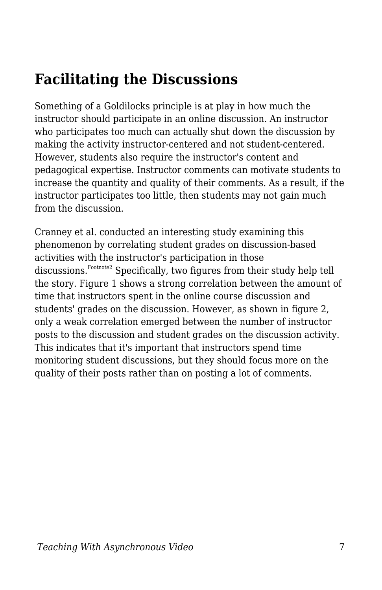## **Facilitating the Discussions**

Something of a Goldilocks principle is at play in how much the instructor should participate in an online discussion. An instructor who participates too much can actually shut down the discussion by making the activity instructor-centered and not student-centered. However, students also require the instructor's content and pedagogical expertise. Instructor comments can motivate students to increase the quantity and quality of their comments. As a result, if the instructor participates too little, then students may not gain much from the discussion.

Cranney et al. conducted an interesting study examining this phenomenon by correlating student grades on discussion-based activities with the instructor's participation in those discussions.Footnote2 Specifically, two figures from their study help tell the story. Figure 1 shows a strong correlation between the amount of time that instructors spent in the online course discussion and students' grades on the discussion. However, as shown in figure 2, only a weak correlation emerged between the number of instructor posts to the discussion and student grades on the discussion activity. This indicates that it's important that instructors spend time monitoring student discussions, but they should focus more on the quality of their posts rather than on posting a lot of comments.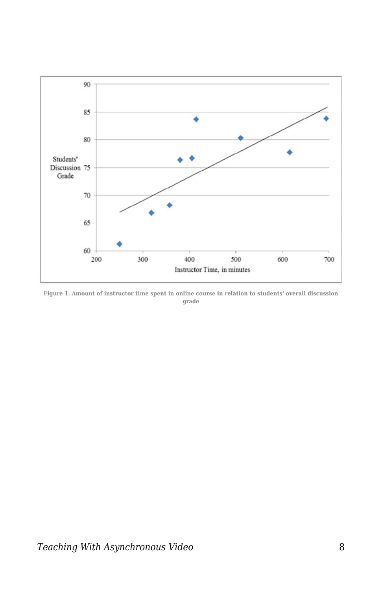

**Figure 1. Amount of instructor time spent in online course in relation to students' overall discussion grade**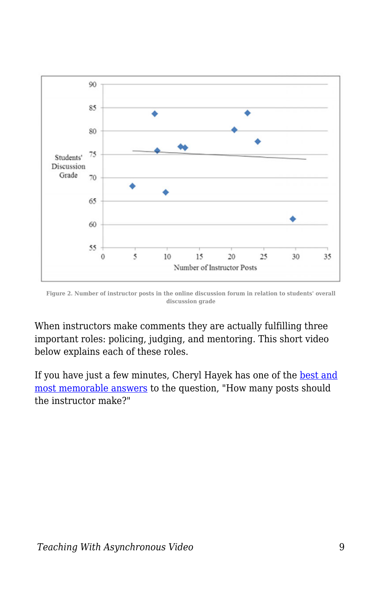

**Figure 2. Number of instructor posts in the online discussion forum in relation to students' overall discussion grade**

When instructors make comments they are actually fulfilling three important roles: policing, judging, and mentoring. This short video below explains each of these roles.

If you have just a few minutes, Cheryl Hayek has one of the [best and](https://www.facultyfocus.com/articles/online-education/how-many-faculty-discussion-posts-each-week-a-simply-delicious-answer/) [most memorable answers](https://www.facultyfocus.com/articles/online-education/how-many-faculty-discussion-posts-each-week-a-simply-delicious-answer/) to the question, "How many posts should the instructor make?"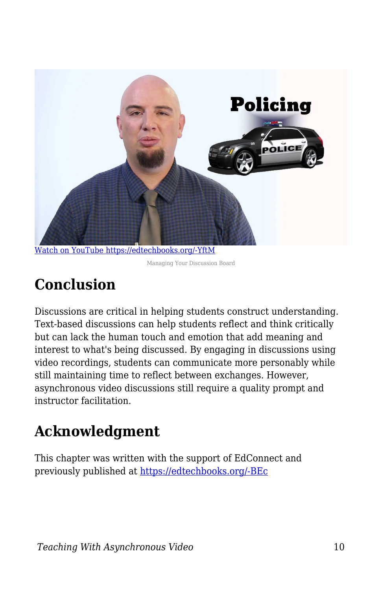

[Watch on YouTube https://edtechbooks.org/-YftM](https://www.youtube.com/embed/JSBrxMVdpA4?autoplay=1&rel=0&showinfo=0&modestbranding=1)

Managing Your Discussion Board

## **Conclusion**

Discussions are critical in helping students construct understanding. Text-based discussions can help students reflect and think critically but can lack the human touch and emotion that add meaning and interest to what's being discussed. By engaging in discussions using video recordings, students can communicate more personably while still maintaining time to reflect between exchanges. However, asynchronous video discussions still require a quality prompt and instructor facilitation.

## **Acknowledgment**

This chapter was written with the support of EdConnect and previously published at [https://edtechbooks.org/-BEc](https://er.educause.edu/blogs/2021/2/lets-discuss-discussions-using-asynchronous-video-to-improve-online-discussions)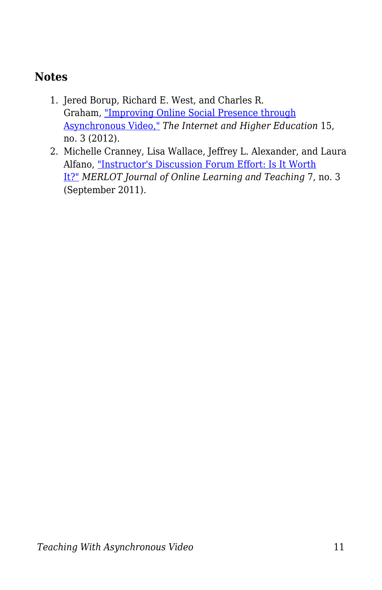### **Notes**

- 1. Jered Borup, Richard E. West, and Charles R. Graham, ["Improving Online Social Presence through](https://drive.google.com/file/d/1hsGAvjsZdjiWHpb_zBZZFEMWBM9eusqU/view) [Asynchronous Video,"](https://drive.google.com/file/d/1hsGAvjsZdjiWHpb_zBZZFEMWBM9eusqU/view) *The Internet and Higher Education* 15, no. 3 (2012).
- 2. Michelle Cranney, Lisa Wallace, Jeffrey L. Alexander, and Laura Alfano, ["Instructor's Discussion Forum Effort: Is It Worth](http://jolt.merlot.org/vol7no3/cranney_0911.pdf) [It?"](http://jolt.merlot.org/vol7no3/cranney_0911.pdf) *MERLOT Journal of Online Learning and Teaching* 7, no. 3 (September 2011).